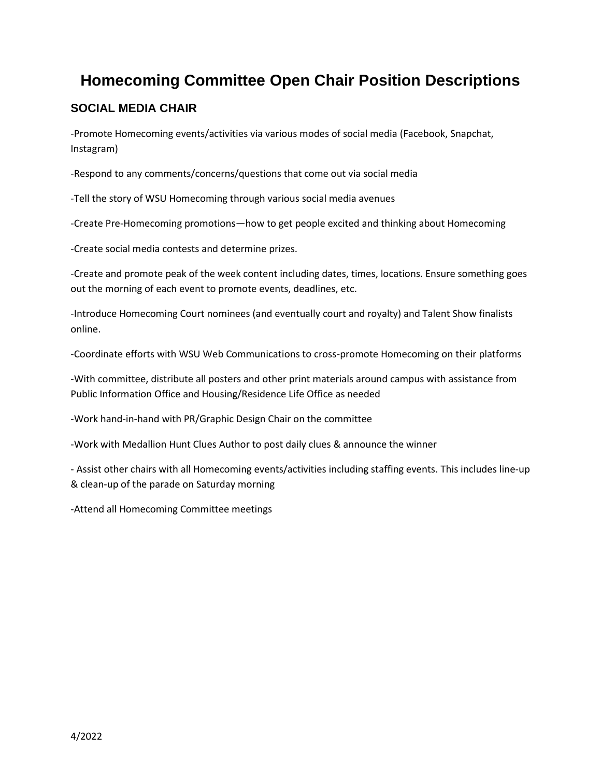# **Homecoming Committee Open Chair Position Descriptions**

## **SOCIAL MEDIA CHAIR**

-Promote Homecoming events/activities via various modes of social media (Facebook, Snapchat, Instagram)

-Respond to any comments/concerns/questions that come out via social media

-Tell the story of WSU Homecoming through various social media avenues

-Create Pre-Homecoming promotions—how to get people excited and thinking about Homecoming

-Create social media contests and determine prizes.

-Create and promote peak of the week content including dates, times, locations. Ensure something goes out the morning of each event to promote events, deadlines, etc.

-Introduce Homecoming Court nominees (and eventually court and royalty) and Talent Show finalists online.

-Coordinate efforts with WSU Web Communications to cross-promote Homecoming on their platforms

-With committee, distribute all posters and other print materials around campus with assistance from Public Information Office and Housing/Residence Life Office as needed

-Work hand-in-hand with PR/Graphic Design Chair on the committee

-Work with Medallion Hunt Clues Author to post daily clues & announce the winner

- Assist other chairs with all Homecoming events/activities including staffing events. This includes line-up & clean-up of the parade on Saturday morning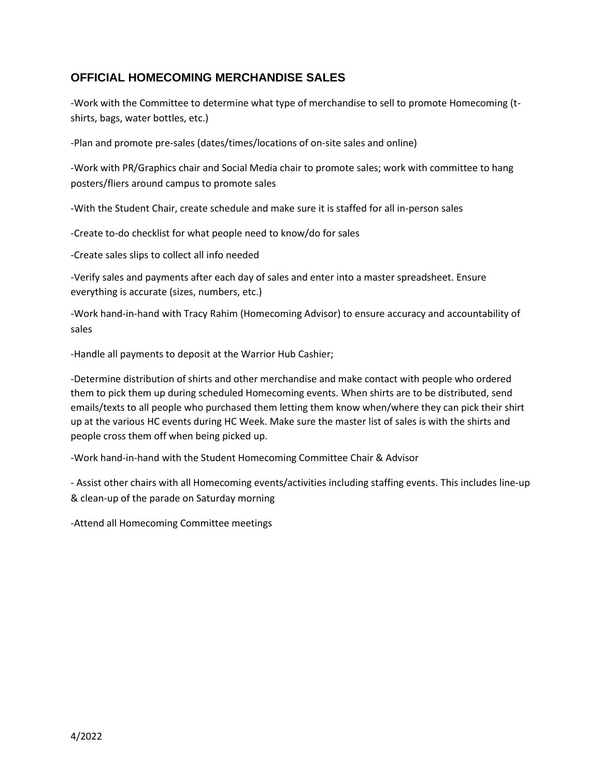### **OFFICIAL HOMECOMING MERCHANDISE SALES**

-Work with the Committee to determine what type of merchandise to sell to promote Homecoming (tshirts, bags, water bottles, etc.)

-Plan and promote pre-sales (dates/times/locations of on-site sales and online)

-Work with PR/Graphics chair and Social Media chair to promote sales; work with committee to hang posters/fliers around campus to promote sales

-With the Student Chair, create schedule and make sure it is staffed for all in-person sales

-Create to-do checklist for what people need to know/do for sales

-Create sales slips to collect all info needed

-Verify sales and payments after each day of sales and enter into a master spreadsheet. Ensure everything is accurate (sizes, numbers, etc.)

-Work hand-in-hand with Tracy Rahim (Homecoming Advisor) to ensure accuracy and accountability of sales

-Handle all payments to deposit at the Warrior Hub Cashier;

-Determine distribution of shirts and other merchandise and make contact with people who ordered them to pick them up during scheduled Homecoming events. When shirts are to be distributed, send emails/texts to all people who purchased them letting them know when/where they can pick their shirt up at the various HC events during HC Week. Make sure the master list of sales is with the shirts and people cross them off when being picked up.

-Work hand-in-hand with the Student Homecoming Committee Chair & Advisor

- Assist other chairs with all Homecoming events/activities including staffing events. This includes line-up & clean-up of the parade on Saturday morning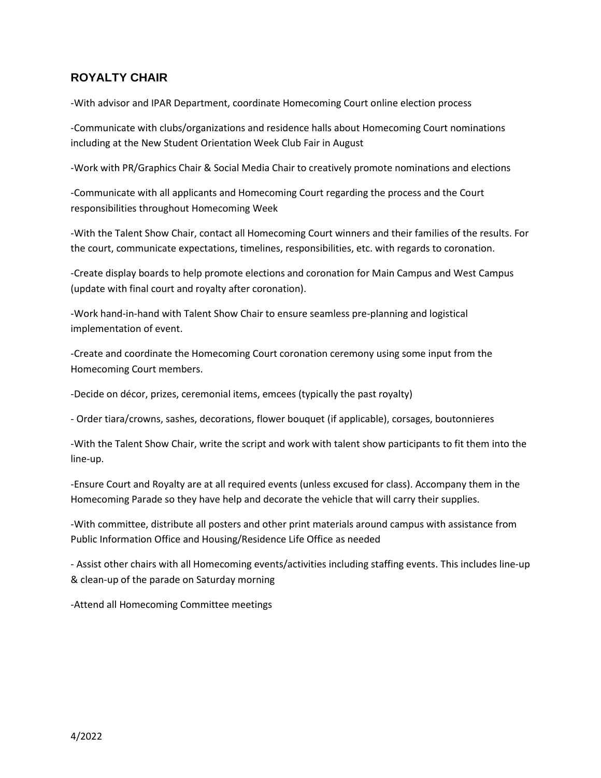#### **ROYALTY CHAIR**

-With advisor and IPAR Department, coordinate Homecoming Court online election process

-Communicate with clubs/organizations and residence halls about Homecoming Court nominations including at the New Student Orientation Week Club Fair in August

-Work with PR/Graphics Chair & Social Media Chair to creatively promote nominations and elections

-Communicate with all applicants and Homecoming Court regarding the process and the Court responsibilities throughout Homecoming Week

-With the Talent Show Chair, contact all Homecoming Court winners and their families of the results. For the court, communicate expectations, timelines, responsibilities, etc. with regards to coronation.

-Create display boards to help promote elections and coronation for Main Campus and West Campus (update with final court and royalty after coronation).

-Work hand-in-hand with Talent Show Chair to ensure seamless pre-planning and logistical implementation of event.

-Create and coordinate the Homecoming Court coronation ceremony using some input from the Homecoming Court members.

-Decide on décor, prizes, ceremonial items, emcees (typically the past royalty)

- Order tiara/crowns, sashes, decorations, flower bouquet (if applicable), corsages, boutonnieres

-With the Talent Show Chair, write the script and work with talent show participants to fit them into the line-up.

-Ensure Court and Royalty are at all required events (unless excused for class). Accompany them in the Homecoming Parade so they have help and decorate the vehicle that will carry their supplies.

-With committee, distribute all posters and other print materials around campus with assistance from Public Information Office and Housing/Residence Life Office as needed

- Assist other chairs with all Homecoming events/activities including staffing events. This includes line-up & clean-up of the parade on Saturday morning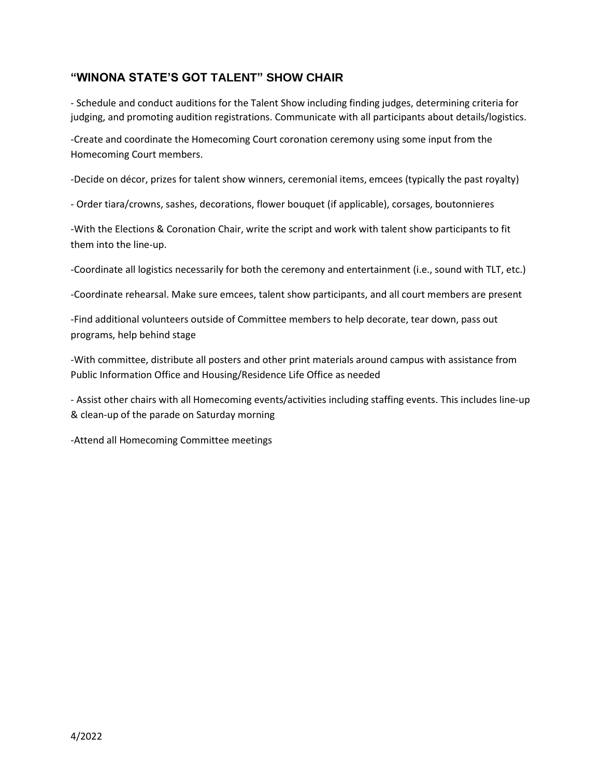#### **"WINONA STATE'S GOT TALENT" SHOW CHAIR**

- Schedule and conduct auditions for the Talent Show including finding judges, determining criteria for judging, and promoting audition registrations. Communicate with all participants about details/logistics.

-Create and coordinate the Homecoming Court coronation ceremony using some input from the Homecoming Court members.

-Decide on décor, prizes for talent show winners, ceremonial items, emcees (typically the past royalty)

- Order tiara/crowns, sashes, decorations, flower bouquet (if applicable), corsages, boutonnieres

-With the Elections & Coronation Chair, write the script and work with talent show participants to fit them into the line-up.

-Coordinate all logistics necessarily for both the ceremony and entertainment (i.e., sound with TLT, etc.)

-Coordinate rehearsal. Make sure emcees, talent show participants, and all court members are present

-Find additional volunteers outside of Committee members to help decorate, tear down, pass out programs, help behind stage

-With committee, distribute all posters and other print materials around campus with assistance from Public Information Office and Housing/Residence Life Office as needed

- Assist other chairs with all Homecoming events/activities including staffing events. This includes line-up & clean-up of the parade on Saturday morning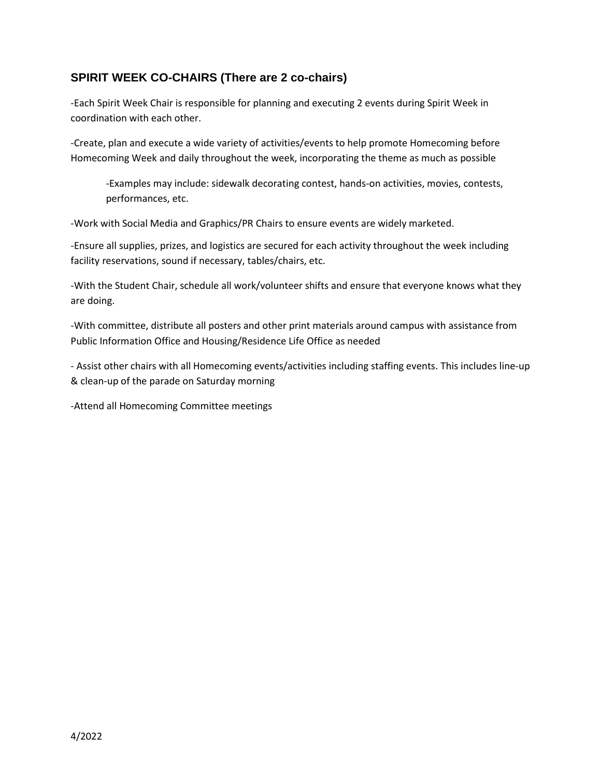### **SPIRIT WEEK CO-CHAIRS (There are 2 co-chairs)**

-Each Spirit Week Chair is responsible for planning and executing 2 events during Spirit Week in coordination with each other.

-Create, plan and execute a wide variety of activities/events to help promote Homecoming before Homecoming Week and daily throughout the week, incorporating the theme as much as possible

-Examples may include: sidewalk decorating contest, hands-on activities, movies, contests, performances, etc.

-Work with Social Media and Graphics/PR Chairs to ensure events are widely marketed.

-Ensure all supplies, prizes, and logistics are secured for each activity throughout the week including facility reservations, sound if necessary, tables/chairs, etc.

-With the Student Chair, schedule all work/volunteer shifts and ensure that everyone knows what they are doing.

-With committee, distribute all posters and other print materials around campus with assistance from Public Information Office and Housing/Residence Life Office as needed

- Assist other chairs with all Homecoming events/activities including staffing events. This includes line-up & clean-up of the parade on Saturday morning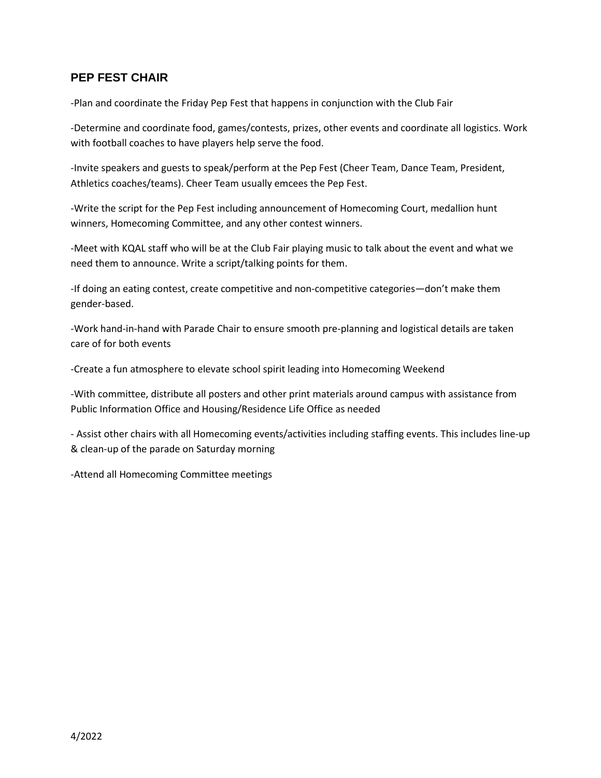#### **PEP FEST CHAIR**

-Plan and coordinate the Friday Pep Fest that happens in conjunction with the Club Fair

-Determine and coordinate food, games/contests, prizes, other events and coordinate all logistics. Work with football coaches to have players help serve the food.

-Invite speakers and guests to speak/perform at the Pep Fest (Cheer Team, Dance Team, President, Athletics coaches/teams). Cheer Team usually emcees the Pep Fest.

-Write the script for the Pep Fest including announcement of Homecoming Court, medallion hunt winners, Homecoming Committee, and any other contest winners.

-Meet with KQAL staff who will be at the Club Fair playing music to talk about the event and what we need them to announce. Write a script/talking points for them.

-If doing an eating contest, create competitive and non-competitive categories—don't make them gender-based.

-Work hand-in-hand with Parade Chair to ensure smooth pre-planning and logistical details are taken care of for both events

-Create a fun atmosphere to elevate school spirit leading into Homecoming Weekend

-With committee, distribute all posters and other print materials around campus with assistance from Public Information Office and Housing/Residence Life Office as needed

- Assist other chairs with all Homecoming events/activities including staffing events. This includes line-up & clean-up of the parade on Saturday morning